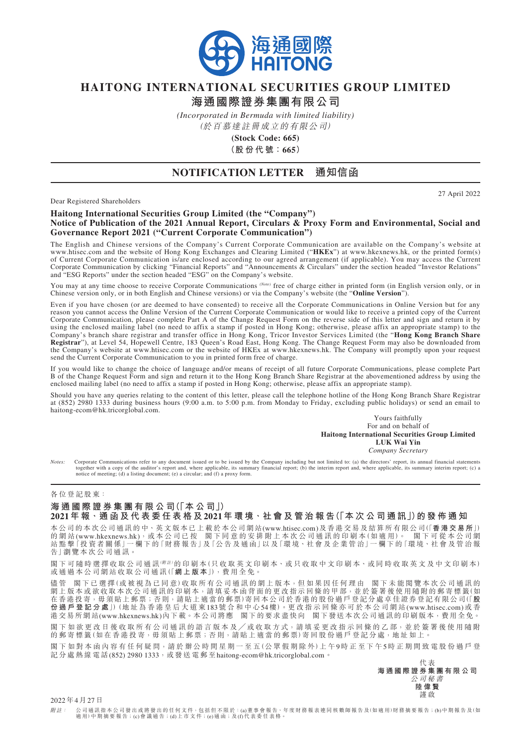

# **HAITONG INTERNATIONAL SECURITIES GROUP LIMITED**

**海通國際證券集團有限公司**

*(Incorporated in Bermuda with limited liability)*

(於百慕達註冊成立的有限公司)

**(Stock Code: 665) (股 份 代 號:665)**

### **NOTIFICATION LETTER 通知信函**

Dear Registered Shareholders

27 April 2022

#### **Haitong International Securities Group Limited (the "Company") Notice of Publication of the 2021 Annual Report, Circulars & Proxy Form and Environmental, Social and Governance Report 2021 ("Current Corporate Communication")**

The English and Chinese versions of the Company's Current Corporate Communication are available on the Company's website at www.htisec.com and the website of Hong Kong Exchanges and Clearing Limited ("**HKEx**") at www.hkexnews.hk, or the printed form(s) of Current Corporate Communication is/are enclosed according to our agreed arrangement (if applicable). You may access the Current Corporate Communication by clicking "Financial Reports" and "Announcements & Circulars" under the section headed "Investor Relations" and "ESG Reports" under the section headed "ESG" on the Company's website.

You may at any time choose to receive Corporate Communications *(Note)* free of charge either in printed form (in English version only, or in Chinese version only, or in both English and Chinese versions) or via the Company's website (the "**Online Version**").

Even if you have chosen (or are deemed to have consented) to receive all the Corporate Communications in Online Version but for any reason you cannot access the Online Version of the Current Corporate Communication or would like to receive a printed copy of the Current Corporate Communication, please complete Part A of the Change Request Form on the reverse side of this letter and sign and return it by using the enclosed mailing label (no need to affix a stamp if posted in Hong Kong; otherwise, please affix an appropriate stamp) to the Company's branch share registrar and transfer office in Hong Kong, Tricor Investor Services Limited (the "**Hong Kong Branch Share Registrar**"), at Level 54, Hopewell Centre, 183 Queen's Road East, Hong Kong. The Change Request Form may also be downloaded from the Company's website at www.htisec.com or the website of HKEx at www.hkexnews.hk. The Company will promptly upon your request send the Current Corporate Communication to you in printed form free of charge.

If you would like to change the choice of language and/or means of receipt of all future Corporate Communications, please complete Part B of the Change Request Form and sign and return it to the Hong Kong Branch Share Registrar at the abovementioned address by using the enclosed mailing label (no need to affix a stamp if posted in Hong Kong; otherwise, please affix an appropriate stamp).

Should you have any queries relating to the content of this letter, please call the telephone hotline of the Hong Kong Branch Share Registrar at (852) 2980 1333 during business hours (9:00 a.m. to 5:00 p.m. from Monday to Friday, excluding public holidays) or send an email to haitong-ecom@hk.tricorglobal.com.

#### Yours faithfully For and on behalf of **Haitong International Securities Group Limited LUK Wai Yin**

*Company Secretary*

Notes: Corporate Communications refer to any document issued or to be issued by the Company including but not limited to: (a) the directors' report, its annual financial statements together with a copy of the auditor's rep notice of meeting; (d) a listing document; (e) a circular; and (f) a proxy form.

#### 各位登記股東:

## **海 通 國 際 證 券 集 團 有 限 公 司(「本 公 司」)**

2021年報 · 通函及代表委任表格及2021年環境 · 社會及管治報告(「本次公司通訊」)的發佈通知

本公司的本次公司通訊的中、英文版本已上載於本公司網站(www.htisec.com)及香港交易及結算所有限公司(「**香港交易所**」) 的 網 站 (www.hkexnews.hk),或 本 公 司 已 按 閣 下 同 意 的 安 排 附 上 本 次 公 司 通 訊 的 印 刷 本 (如 適 用 )。 閣 下 可 從 本 公 司 網 站 點 擊「投 資 者 關 係」一 欄 下 的「財 務 報 告」及「公 告 及 通 函」以 及「環 境、社 會 及 企 業 管 治」一 欄 下 的「環 境、社 會 及 管 治 報 告」瀏 覽 本 次 公 司 通 訊。

閣下可隨時選擇收取公司通訊(<sup>解註)</sup>的印刷本(只收取英文印刷本、或只收取中文印刷本、或同時收取英文及中文印刷本) 或 通 過 本 公 司 網 站 收 取 公 司 通 訊(「**網 上 版 本**」),費 用 全 免。

儘管 閣下已選擇(或被視為已同意)收取所有公司通訊的網上版本,但如果因任何理由 閣下未能閲覽本次公司通訊的 網上版本或欲收取本次公司通訊的印刷本,請填妥本函背面的更改指示回條的甲部,並於簽署後使用隨附的郵寄標籤(如 在香港投寄,毋須貼上郵票;否則,請貼上適當的郵票)寄回本公司於香港的股份過戶登記分處卓佳證券登記有限公司(「**股 份 過 戶 登 記 分 處**」)(地 址 為 香 港 皇 后 大 道 東183號 合 和 中 心54樓)。更 改 指 示 回 條 亦 可 於 本 公 司 網 站(www.htisec.com)或 香 港交易所網站(www.hkexnews.hk)內下載。本公司將應 閣下的要求盡快向 閣下發送本次公司通訊的印刷版本,費用全免。 閣下如欲更改日後收取所有公司通訊的語言版本及/或收取方式,請填妥更改指示回條的乙部,並於簽署後使用隨附

的郵寄標籤(如在香港投寄,毋須貼上郵票;否則,請貼上適當的郵票)寄回股份過戶登記分處,地址如上。 閣下如對本函內容有任何疑問,請於辦公時間星期一至五(公眾假期除外)上午9時正至下午5時正期間致電股份過戶登 記分處熱線電話(852) 2980 1333,或發送電郵至haitong-ecom@hk.tricorglobal.com。

代 表 **海 通 國 際 證 券 集 團 有 限 公 司** 公 司 秘 書 **陸 偉 賢** 謹 啟

2022年4月27日

附*註* : 公司通訊指本公司發出或將發出的任何文件,包括但不限於:(a)董事會報告、年度財務報表連同核數師報告及(如適用)財務摘要報告;(b)中期報告及(如<br>適用)中期摘要報告;(c)會議通告;(d)上市文件;(e)通函;及(f)代表委任表格。